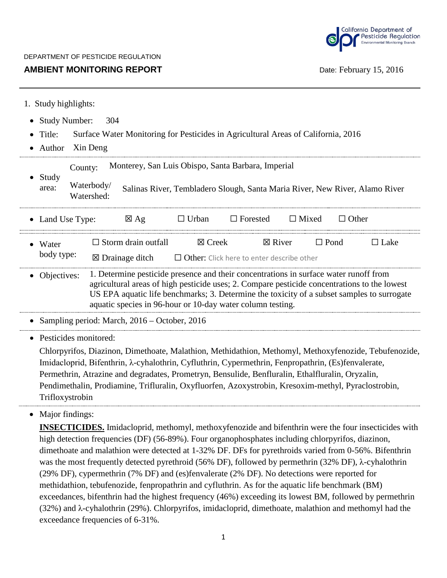

## **AMBIENT MONITORING REPORT DATE: February 15, 2016**

|  | 1. Study highlights: |  |
|--|----------------------|--|
|  |                      |  |

- Study Number: 304
- Title: Surface Water Monitoring for Pesticides in Agricultural Areas of California, 2016
- Author Xin Deng

| Study<br>area:                                                                                                                                                                                                                                           |  | Monterey, San Luis Obispo, Santa Barbara, Imperial<br>County:                                           |                                                                                                     |                   |                 |                   |             |              |             |  |  |
|----------------------------------------------------------------------------------------------------------------------------------------------------------------------------------------------------------------------------------------------------------|--|---------------------------------------------------------------------------------------------------------|-----------------------------------------------------------------------------------------------------|-------------------|-----------------|-------------------|-------------|--------------|-------------|--|--|
|                                                                                                                                                                                                                                                          |  | Waterbody/<br>Salinas River, Tembladero Slough, Santa Maria River, New River, Alamo River<br>Watershed: |                                                                                                     |                   |                 |                   |             |              |             |  |  |
| • Land Use Type:                                                                                                                                                                                                                                         |  |                                                                                                         | $\boxtimes$ Ag                                                                                      | $\Box$ Urban      | $\Box$ Forested | $\Box$ Mixed      |             | $\Box$ Other |             |  |  |
| • Water                                                                                                                                                                                                                                                  |  |                                                                                                         | $\Box$ Storm drain outfall                                                                          | $\boxtimes$ Creek |                 | $\boxtimes$ River | $\Box$ Pond |              | $\Box$ Lake |  |  |
| body type:                                                                                                                                                                                                                                               |  | $\boxtimes$ Drainage ditch<br>$\Box$ Other: Click here to enter describe other                          |                                                                                                     |                   |                 |                   |             |              |             |  |  |
| • Objectives:                                                                                                                                                                                                                                            |  | 1. Determine pesticide presence and their concentrations in surface water runoff from                   |                                                                                                     |                   |                 |                   |             |              |             |  |  |
| agricultural areas of high pesticide uses; 2. Compare pesticide concentrations to the lowest<br>US EPA aquatic life benchmarks; 3. Determine the toxicity of a subset samples to surrogate<br>aquatic species in 96-hour or 10-day water column testing. |  |                                                                                                         |                                                                                                     |                   |                 |                   |             |              |             |  |  |
|                                                                                                                                                                                                                                                          |  |                                                                                                         | • Sampling period: March, 2016 – October, 2016                                                      |                   |                 |                   |             |              |             |  |  |
| • Pesticides monitored:                                                                                                                                                                                                                                  |  |                                                                                                         |                                                                                                     |                   |                 |                   |             |              |             |  |  |
| Chlorpyrifos, Diazinon, Dimethoate, Malathion, Methidathion, Methomyl, Methoxyfenozide, Tebufenozide,                                                                                                                                                    |  |                                                                                                         |                                                                                                     |                   |                 |                   |             |              |             |  |  |
| Imidacloprid, Bifenthrin, λ-cyhalothrin, Cyfluthrin, Cypermethrin, Fenpropathrin, (Es)fenvalerate,                                                                                                                                                       |  |                                                                                                         |                                                                                                     |                   |                 |                   |             |              |             |  |  |
| Permethrin, Atrazine and degradates, Prometryn, Bensulide, Benfluralin, Ethalfluralin, Oryzalin,                                                                                                                                                         |  |                                                                                                         |                                                                                                     |                   |                 |                   |             |              |             |  |  |
|                                                                                                                                                                                                                                                          |  |                                                                                                         | Pendimethalin, Prodiamine, Trifluralin, Oxyfluorfen, Azoxystrobin, Kresoxim-methyl, Pyraclostrobin, |                   |                 |                   |             |              |             |  |  |

Trifloxystrobin • Major findings:

> **INSECTICIDES.** Imidacloprid, methomyl, methoxyfenozide and bifenthrin were the four insecticides with high detection frequencies (DF) (56-89%). Four organophosphates including chlorpyrifos, diazinon, dimethoate and malathion were detected at 1-32% DF. DFs for pyrethroids varied from 0-56%. Bifenthrin was the most frequently detected pyrethroid (56% DF), followed by permethrin (32% DF), λ-cyhalothrin (29% DF), cypermethrin (7% DF) and (es)fenvalerate (2% DF). No detections were reported for methidathion, tebufenozide, fenpropathrin and cyfluthrin. As for the aquatic life benchmark (BM) exceedances, bifenthrin had the highest frequency (46%) exceeding its lowest BM, followed by permethrin (32%) and λ-cyhalothrin (29%). Chlorpyrifos, imidacloprid, dimethoate, malathion and methomyl had the exceedance frequencies of 6-31%.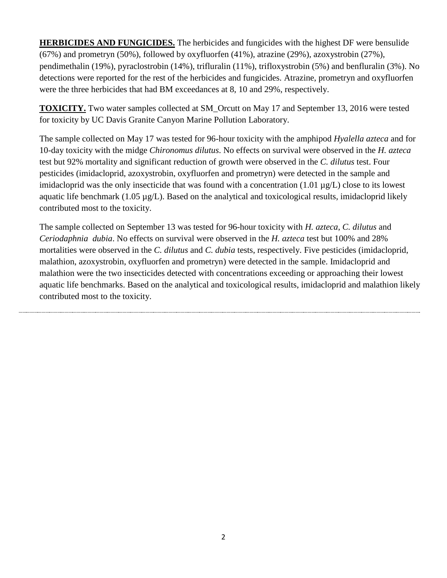**HERBICIDES AND FUNGICIDES.** The herbicides and fungicides with the highest DF were bensulide (67%) and prometryn (50%), followed by oxyfluorfen (41%), atrazine (29%), azoxystrobin (27%), pendimethalin (19%), pyraclostrobin (14%), trifluralin (11%), trifloxystrobin (5%) and benfluralin (3%). No detections were reported for the rest of the herbicides and fungicides. Atrazine, prometryn and oxyfluorfen were the three herbicides that had BM exceedances at 8, 10 and 29%, respectively.

**TOXICITY.** Two water samples collected at SM\_Orcutt on May 17 and September 13, 2016 were tested for toxicity by UC Davis Granite Canyon Marine Pollution Laboratory.

The sample collected on May 17 was tested for 96-hour toxicity with the amphipod *Hyalella azteca* and for 10-day toxicity with the midge *Chironomus dilutus*. No effects on survival were observed in the *H. azteca* test but 92% mortality and significant reduction of growth were observed in the *C. dilutus* test. Four pesticides (imidacloprid, azoxystrobin, oxyfluorfen and prometryn) were detected in the sample and imidacloprid was the only insecticide that was found with a concentration (1.01 µg/L) close to its lowest aquatic life benchmark (1.05 µg/L). Based on the analytical and toxicological results, imidacloprid likely contributed most to the toxicity.

The sample collected on September 13 was tested for 96-hour toxicity with *H. azteca*, *C. dilutus* and *Ceriodaphnia dubia*. No effects on survival were observed in the *H. azteca* test but 100% and 28% mortalities were observed in the *C. dilutus* and *C. dubia* tests, respectively. Five pesticides (imidacloprid, malathion, azoxystrobin, oxyfluorfen and prometryn) were detected in the sample. Imidacloprid and malathion were the two insecticides detected with concentrations exceeding or approaching their lowest aquatic life benchmarks. Based on the analytical and toxicological results, imidacloprid and malathion likely contributed most to the toxicity.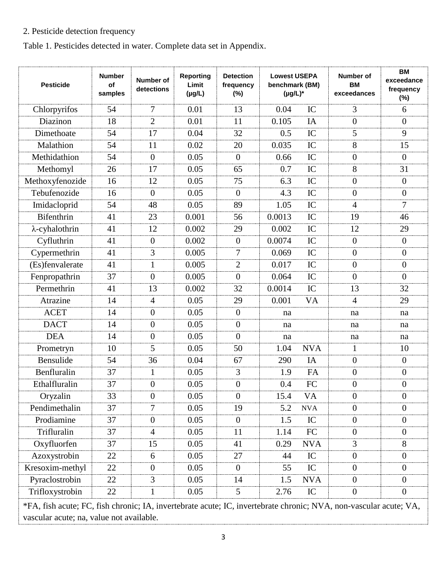## 2. Pesticide detection frequency

Table 1. Pesticides detected in water. Complete data set in Appendix.

| <b>Pesticide</b>                                                                                                  | <b>Number</b><br>οf<br>samples | <b>Number of</b><br>detections | Reporting<br>Limit<br>$(\mu g/L)$ | <b>Detection</b><br>frequency<br>(%) | <b>Lowest USEPA</b><br>benchmark (BM)<br>$(\mu g/L)^*$ |            | Number of<br>BM<br>exceedances | <b>BM</b><br>exceedance<br>frequency<br>$(\%)$ |
|-------------------------------------------------------------------------------------------------------------------|--------------------------------|--------------------------------|-----------------------------------|--------------------------------------|--------------------------------------------------------|------------|--------------------------------|------------------------------------------------|
| Chlorpyrifos                                                                                                      | 54                             | 7                              | 0.01                              | 13                                   | 0.04                                                   | IC         | 3                              | 6                                              |
| Diazinon                                                                                                          | 18                             | $\overline{2}$                 | 0.01                              | 11                                   | 0.105                                                  | IA         | $\overline{0}$                 | $\overline{0}$                                 |
| Dimethoate                                                                                                        | 54                             | 17                             | 0.04                              | 32                                   | 0.5                                                    | IC         | 5                              | 9                                              |
| Malathion                                                                                                         | 54                             | 11                             | 0.02                              | 20                                   | 0.035                                                  | IC         | 8                              | 15                                             |
| Methidathion                                                                                                      | 54                             | $\overline{0}$                 | 0.05                              | $\overline{0}$                       | 0.66                                                   | IC         | $\overline{0}$                 | $\overline{0}$                                 |
| Methomyl                                                                                                          | 26                             | 17                             | 0.05                              | 65                                   | 0.7                                                    | IC         | 8                              | 31                                             |
| Methoxyfenozide                                                                                                   | 16                             | 12                             | 0.05                              | 75                                   | 6.3                                                    | IC         | $\overline{0}$                 | $\overline{0}$                                 |
| Tebufenozide                                                                                                      | 16                             | $\theta$                       | 0.05                              | $\overline{0}$                       | 4.3                                                    | IC         | $\theta$                       | $\overline{0}$                                 |
| Imidacloprid                                                                                                      | 54                             | 48                             | 0.05                              | 89                                   | 1.05                                                   | IC         | $\overline{4}$                 | 7                                              |
| <b>Bifenthrin</b>                                                                                                 | 41                             | 23                             | 0.001                             | 56                                   | 0.0013                                                 | IC         | 19                             | 46                                             |
| $\lambda$ -cyhalothrin                                                                                            | 41                             | 12                             | 0.002                             | 29                                   | 0.002                                                  | IC         | 12                             | 29                                             |
| Cyfluthrin                                                                                                        | 41                             | $\theta$                       | 0.002                             | $\overline{0}$                       | 0.0074                                                 | IC         | $\mathbf{0}$                   | $\mathbf{0}$                                   |
| Cypermethrin                                                                                                      | 41                             | 3                              | 0.005                             | $\overline{7}$                       | 0.069                                                  | IC         | $\overline{0}$                 | $\overline{0}$                                 |
| (Es)fenvalerate                                                                                                   | 41                             | 1                              | 0.005                             | $\overline{2}$                       | 0.017                                                  | IC         | $\theta$                       | $\overline{0}$                                 |
| Fenpropathrin                                                                                                     | 37                             | $\theta$                       | 0.005                             | $\overline{0}$                       | 0.064                                                  | IC         | $\theta$                       | $\theta$                                       |
| Permethrin                                                                                                        | 41                             | 13                             | 0.002                             | 32                                   | 0.0014                                                 | IC         | 13                             | 32                                             |
| Atrazine                                                                                                          | 14                             | 4                              | 0.05                              | 29                                   | 0.001                                                  | <b>VA</b>  | $\overline{4}$                 | 29                                             |
| <b>ACET</b>                                                                                                       | 14                             | $\overline{0}$                 | 0.05                              | $\overline{0}$                       | na                                                     |            | na                             | na                                             |
| <b>DACT</b>                                                                                                       | 14                             | $\overline{0}$                 | 0.05                              | $\overline{0}$                       | na                                                     |            | na                             | na                                             |
| <b>DEA</b>                                                                                                        | 14                             | $\overline{0}$                 | 0.05                              | $\overline{0}$                       | na                                                     |            | na                             | na                                             |
| Prometryn                                                                                                         | 10                             | 5                              | 0.05                              | 50                                   | 1.04                                                   | <b>NVA</b> | 1                              | 10                                             |
| Bensulide                                                                                                         | 54                             | 36                             | 0.04                              | 67                                   | 290                                                    | IA         | $\overline{0}$                 | $\overline{0}$                                 |
| Benfluralin                                                                                                       | 37                             | $\mathbf{1}$                   | 0.05                              | 3                                    | 1.9                                                    | FA         | $\theta$                       | $\mathbf{0}$                                   |
| Ethalfluralin                                                                                                     | 37                             | $\overline{0}$                 | 0.05                              | $\boldsymbol{0}$                     | 0.4                                                    | FC         | $\overline{0}$                 | $\overline{0}$                                 |
| Oryzalin                                                                                                          | 33                             | $\boldsymbol{0}$               | 0.05                              | $\boldsymbol{0}$                     | 15.4                                                   | VA         | $\boldsymbol{0}$               | $\theta$                                       |
| Pendimethalin                                                                                                     | 37                             | 7                              | 0.05                              | 19                                   | 5.2                                                    | <b>NVA</b> | $\overline{0}$                 | $\overline{0}$                                 |
| Prodiamine                                                                                                        | 37                             | $\overline{0}$                 | 0.05                              | $\overline{0}$                       | 1.5                                                    | IC         | $\overline{0}$                 | $\mathbf{0}$                                   |
| Trifluralin                                                                                                       | 37                             | $\overline{4}$                 | 0.05                              | 11                                   | 1.14                                                   | ${\rm FC}$ | $\overline{0}$                 | $\mathbf{0}$                                   |
| Oxyfluorfen                                                                                                       | 37                             | 15                             | 0.05                              | 41                                   | 0.29                                                   | <b>NVA</b> | 3                              | 8                                              |
| Azoxystrobin                                                                                                      | 22                             | 6                              | 0.05                              | 27                                   | 44                                                     | IC         | $\overline{0}$                 | $\boldsymbol{0}$                               |
| Kresoxim-methyl                                                                                                   | 22                             | $\boldsymbol{0}$               | 0.05                              | $\boldsymbol{0}$                     | 55                                                     | IC         | $\overline{0}$                 | $\boldsymbol{0}$                               |
| Pyraclostrobin                                                                                                    | 22                             | 3                              | 0.05                              | 14                                   | 1.5                                                    | <b>NVA</b> | $\overline{0}$                 | $\overline{0}$                                 |
| Trifloxystrobin                                                                                                   | 22                             | 1                              | 0.05                              | 5                                    | 2.76                                                   | IC         | $\overline{0}$                 | $\mathbf{0}$                                   |
| *FA, fish acute; FC, fish chronic; IA, invertebrate acute; IC, invertebrate chronic; NVA, non-vascular acute; VA, |                                |                                |                                   |                                      |                                                        |            |                                |                                                |

vascular acute; na, value not available.